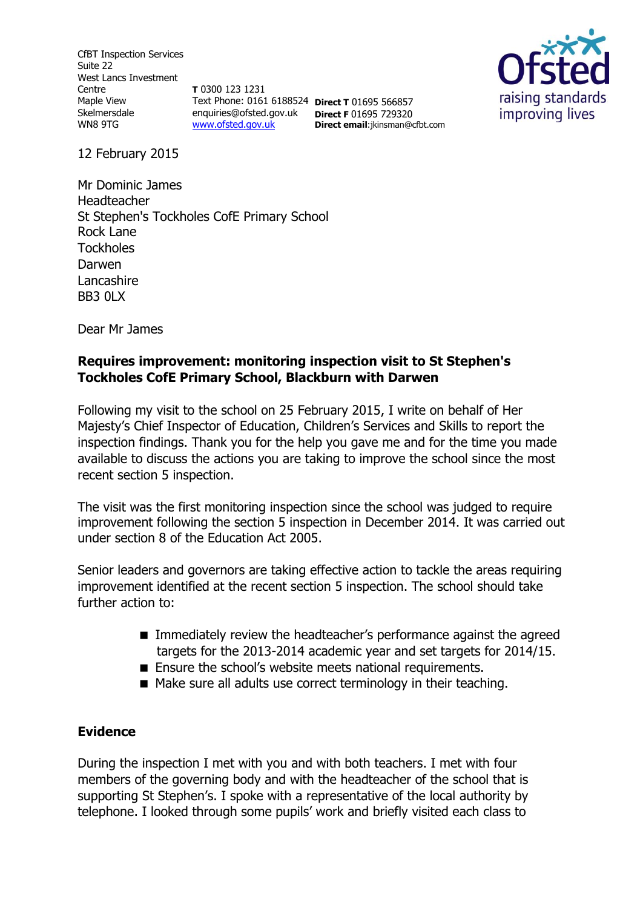CfBT Inspection Services Suite 22 West Lancs Investment Centre Maple View Skelmersdale WN8 9TG

**T** 0300 123 1231 Text Phone: 0161 6188524 **Direct T** 01695 566857 enquiries@ofsted.gov.uk **Direct F** 01695 729320 [www.ofsted.gov.uk](http://www.ofsted.gov.uk/)

**Direct email**:jkinsman@cfbt.com



12 February 2015

Mr Dominic James Headteacher St Stephen's Tockholes CofE Primary School Rock Lane **Tockholes** Darwen Lancashire BB3 0LX

Dear Mr James

### **Requires improvement: monitoring inspection visit to St Stephen's Tockholes CofE Primary School, Blackburn with Darwen**

Following my visit to the school on 25 February 2015, I write on behalf of Her Majesty's Chief Inspector of Education, Children's Services and Skills to report the inspection findings. Thank you for the help you gave me and for the time you made available to discuss the actions you are taking to improve the school since the most recent section 5 inspection.

The visit was the first monitoring inspection since the school was judged to require improvement following the section 5 inspection in December 2014. It was carried out under section 8 of the Education Act 2005.

Senior leaders and governors are taking effective action to tackle the areas requiring improvement identified at the recent section 5 inspection. The school should take further action to:

- **IMMED** Immediately review the headteacher's performance against the agreed targets for the 2013-2014 academic year and set targets for 2014/15.
- Ensure the school's website meets national requirements.
- Make sure all adults use correct terminology in their teaching.

### **Evidence**

During the inspection I met with you and with both teachers. I met with four members of the governing body and with the headteacher of the school that is supporting St Stephen's. I spoke with a representative of the local authority by telephone. I looked through some pupils' work and briefly visited each class to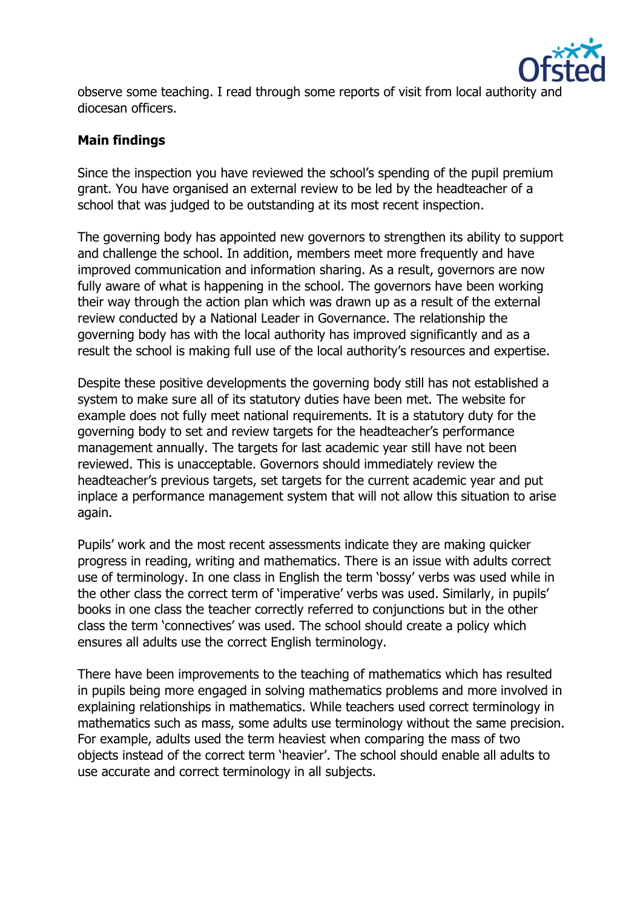

observe some teaching. I read through some reports of visit from local authority and diocesan officers.

### **Main findings**

Since the inspection you have reviewed the school's spending of the pupil premium grant. You have organised an external review to be led by the headteacher of a school that was judged to be outstanding at its most recent inspection.

The governing body has appointed new governors to strengthen its ability to support and challenge the school. In addition, members meet more frequently and have improved communication and information sharing. As a result, governors are now fully aware of what is happening in the school. The governors have been working their way through the action plan which was drawn up as a result of the external review conducted by a National Leader in Governance. The relationship the governing body has with the local authority has improved significantly and as a result the school is making full use of the local authority's resources and expertise.

Despite these positive developments the governing body still has not established a system to make sure all of its statutory duties have been met. The website for example does not fully meet national requirements. It is a statutory duty for the governing body to set and review targets for the headteacher's performance management annually. The targets for last academic year still have not been reviewed. This is unacceptable. Governors should immediately review the headteacher's previous targets, set targets for the current academic year and put inplace a performance management system that will not allow this situation to arise again.

Pupils' work and the most recent assessments indicate they are making quicker progress in reading, writing and mathematics. There is an issue with adults correct use of terminology. In one class in English the term 'bossy' verbs was used while in the other class the correct term of 'imperative' verbs was used. Similarly, in pupils' books in one class the teacher correctly referred to conjunctions but in the other class the term 'connectives' was used. The school should create a policy which ensures all adults use the correct English terminology.

There have been improvements to the teaching of mathematics which has resulted in pupils being more engaged in solving mathematics problems and more involved in explaining relationships in mathematics. While teachers used correct terminology in mathematics such as mass, some adults use terminology without the same precision. For example, adults used the term heaviest when comparing the mass of two objects instead of the correct term 'heavier'. The school should enable all adults to use accurate and correct terminology in all subjects.